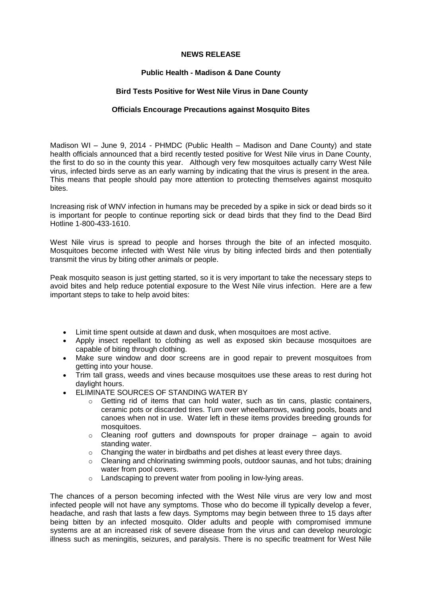## **NEWS RELEASE**

## **Public Health - Madison & Dane County**

## **Bird Tests Positive for West Nile Virus in Dane County**

## **Officials Encourage Precautions against Mosquito Bites**

Madison WI – June 9, 2014 - PHMDC (Public Health – Madison and Dane County) and state health officials announced that a bird recently tested positive for West Nile virus in Dane County, the first to do so in the county this year. Although very few mosquitoes actually carry West Nile virus, infected birds serve as an early warning by indicating that the virus is present in the area. This means that people should pay more attention to protecting themselves against mosquito bites.

Increasing risk of WNV infection in humans may be preceded by a spike in sick or dead birds so it is important for people to continue reporting sick or dead birds that they find to the Dead Bird Hotline 1-800-433-1610.

West Nile virus is spread to people and horses through the bite of an infected mosquito. Mosquitoes become infected with West Nile virus by biting infected birds and then potentially transmit the virus by biting other animals or people.

Peak mosquito season is just getting started, so it is very important to take the necessary steps to avoid bites and help reduce potential exposure to the West Nile virus infection. Here are a few important steps to take to help avoid bites:

- Limit time spent outside at dawn and dusk, when mosquitoes are most active.
- Apply insect repellant to clothing as well as exposed skin because mosquitoes are capable of biting through clothing.
- Make sure window and door screens are in good repair to prevent mosquitoes from getting into your house.
- Trim tall grass, weeds and vines because mosquitoes use these areas to rest during hot daylight hours.
- **ELIMINATE SOURCES OF STANDING WATER BY** 
	- $\circ$  Getting rid of items that can hold water, such as tin cans, plastic containers, ceramic pots or discarded tires. Turn over wheelbarrows, wading pools, boats and canoes when not in use. Water left in these items provides breeding grounds for mosquitoes.
	- $\circ$  Cleaning roof gutters and downspouts for proper drainage again to avoid standing water.
	- $\circ$  Changing the water in birdbaths and pet dishes at least every three days.
	- $\circ$  Cleaning and chlorinating swimming pools, outdoor saunas, and hot tubs; draining water from pool covers.
	- o Landscaping to prevent water from pooling in low-lying areas.

The chances of a person becoming infected with the West Nile virus are very low and most infected people will not have any symptoms. Those who do become ill typically develop a fever, headache, and rash that lasts a few days. Symptoms may begin between three to 15 days after being bitten by an infected mosquito. Older adults and people with compromised immune systems are at an increased risk of severe disease from the virus and can develop neurologic illness such as meningitis, seizures, and paralysis. There is no specific treatment for West Nile